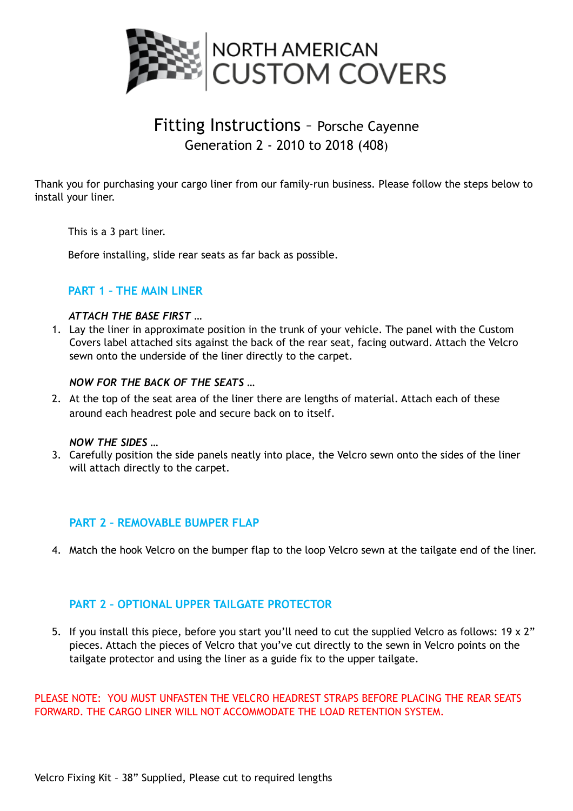

# Fitting Instructions – Porsche Cayenne Generation 2 - 2010 to 2018 (408)

Thank you for purchasing your cargo liner from our family-run business. Please follow the steps below to install your liner.

This is a 3 part liner.

Before installing, slide rear seats as far back as possible.

# **PART 1 – THE MAIN LINER**

## *ATTACH THE BASE FIRST …*

1. Lay the liner in approximate position in the trunk of your vehicle. The panel with the Custom Covers label attached sits against the back of the rear seat, facing outward. Attach the Velcro sewn onto the underside of the liner directly to the carpet.

## *NOW FOR THE BACK OF THE SEATS …*

2. At the top of the seat area of the liner there are lengths of material. Attach each of these around each headrest pole and secure back on to itself.

#### *NOW THE SIDES …*

3. Carefully position the side panels neatly into place, the Velcro sewn onto the sides of the liner will attach directly to the carpet.

## **PART 2 – REMOVABLE BUMPER FLAP**

4. Match the hook Velcro on the bumper flap to the loop Velcro sewn at the tailgate end of the liner.

## **PART 2 – OPTIONAL UPPER TAILGATE PROTECTOR**

5. If you install this piece, before you start you'll need to cut the supplied Velcro as follows: 19 x 2" pieces. Attach the pieces of Velcro that you've cut directly to the sewn in Velcro points on the tailgate protector and using the liner as a guide fix to the upper tailgate.

PLEASE NOTE: YOU MUST UNFASTEN THE VELCRO HEADREST STRAPS BEFORE PLACING THE REAR SEATS FORWARD. THE CARGO LINER WILL NOT ACCOMMODATE THE LOAD RETENTION SYSTEM.